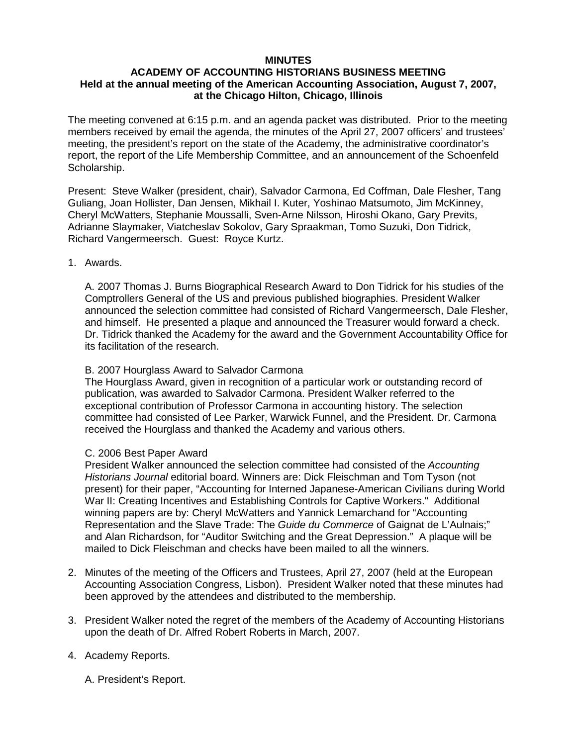## **MINUTES**

## **ACADEMY OF ACCOUNTING HISTORIANS BUSINESS MEETING Held at the annual meeting of the American Accounting Association, August 7, 2007, at the Chicago Hilton, Chicago, Illinois**

The meeting convened at 6:15 p.m. and an agenda packet was distributed. Prior to the meeting members received by email the agenda, the minutes of the April 27, 2007 officers' and trustees' meeting, the president's report on the state of the Academy, the administrative coordinator's report, the report of the Life Membership Committee, and an announcement of the Schoenfeld Scholarship.

Present: Steve Walker (president, chair), Salvador Carmona, Ed Coffman, Dale Flesher, Tang Guliang, Joan Hollister, Dan Jensen, Mikhail I. Kuter, Yoshinao Matsumoto, Jim McKinney, Cheryl McWatters, Stephanie Moussalli, Sven-Arne Nilsson, Hiroshi Okano, Gary Previts, Adrianne Slaymaker, Viatcheslav Sokolov, Gary Spraakman, Tomo Suzuki, Don Tidrick, Richard Vangermeersch. Guest: Royce Kurtz.

#### 1. Awards.

A. 2007 Thomas J. Burns Biographical Research Award to Don Tidrick for his studies of the Comptrollers General of the US and previous published biographies. President Walker announced the selection committee had consisted of Richard Vangermeersch, Dale Flesher, and himself. He presented a plaque and announced the Treasurer would forward a check. Dr. Tidrick thanked the Academy for the award and the Government Accountability Office for its facilitation of the research.

### B. 2007 Hourglass Award to Salvador Carmona

The Hourglass Award, given in recognition of a particular work or outstanding record of publication, was awarded to Salvador Carmona. President Walker referred to the exceptional contribution of Professor Carmona in accounting history. The selection committee had consisted of Lee Parker, Warwick Funnel, and the President. Dr. Carmona received the Hourglass and thanked the Academy and various others.

# C. 2006 Best Paper Award

President Walker announced the selection committee had consisted of the *Accounting Historians Journal* editorial board. Winners are: Dick Fleischman and Tom Tyson (not present) for their paper, "Accounting for Interned Japanese-American Civilians during World War II: Creating Incentives and Establishing Controls for Captive Workers." Additional winning papers are by: Cheryl McWatters and Yannick Lemarchand for "Accounting Representation and the Slave Trade: The *Guide du Commerce* of Gaignat de L'Aulnais;" and Alan Richardson, for "Auditor Switching and the Great Depression." A plaque will be mailed to Dick Fleischman and checks have been mailed to all the winners.

- 2. Minutes of the meeting of the Officers and Trustees, April 27, 2007 (held at the European Accounting Association Congress, Lisbon). President Walker noted that these minutes had been approved by the attendees and distributed to the membership.
- 3. President Walker noted the regret of the members of the Academy of Accounting Historians upon the death of Dr. Alfred Robert Roberts in March, 2007.
- 4. Academy Reports.

A. President's Report.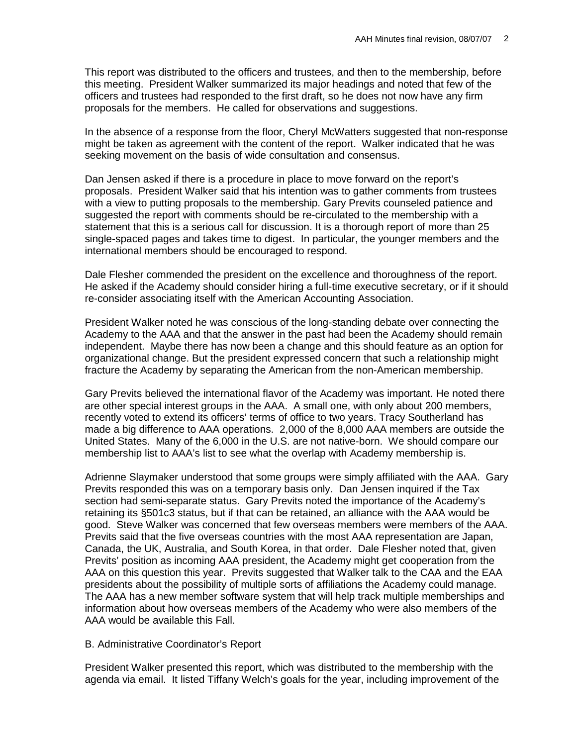This report was distributed to the officers and trustees, and then to the membership, before this meeting. President Walker summarized its major headings and noted that few of the officers and trustees had responded to the first draft, so he does not now have any firm proposals for the members. He called for observations and suggestions.

In the absence of a response from the floor, Cheryl McWatters suggested that non-response might be taken as agreement with the content of the report. Walker indicated that he was seeking movement on the basis of wide consultation and consensus.

Dan Jensen asked if there is a procedure in place to move forward on the report's proposals. President Walker said that his intention was to gather comments from trustees with a view to putting proposals to the membership. Gary Previts counseled patience and suggested the report with comments should be re-circulated to the membership with a statement that this is a serious call for discussion. It is a thorough report of more than 25 single-spaced pages and takes time to digest. In particular, the younger members and the international members should be encouraged to respond.

Dale Flesher commended the president on the excellence and thoroughness of the report. He asked if the Academy should consider hiring a full-time executive secretary, or if it should re-consider associating itself with the American Accounting Association.

President Walker noted he was conscious of the long-standing debate over connecting the Academy to the AAA and that the answer in the past had been the Academy should remain independent. Maybe there has now been a change and this should feature as an option for organizational change. But the president expressed concern that such a relationship might fracture the Academy by separating the American from the non-American membership.

Gary Previts believed the international flavor of the Academy was important. He noted there are other special interest groups in the AAA. A small one, with only about 200 members, recently voted to extend its officers' terms of office to two years. Tracy Southerland has made a big difference to AAA operations. 2,000 of the 8,000 AAA members are outside the United States. Many of the 6,000 in the U.S. are not native-born. We should compare our membership list to AAA's list to see what the overlap with Academy membership is.

Adrienne Slaymaker understood that some groups were simply affiliated with the AAA. Gary Previts responded this was on a temporary basis only. Dan Jensen inquired if the Tax section had semi-separate status. Gary Previts noted the importance of the Academy's retaining its §501c3 status, but if that can be retained, an alliance with the AAA would be good. Steve Walker was concerned that few overseas members were members of the AAA. Previts said that the five overseas countries with the most AAA representation are Japan, Canada, the UK, Australia, and South Korea, in that order. Dale Flesher noted that, given Previts' position as incoming AAA president, the Academy might get cooperation from the AAA on this question this year. Previts suggested that Walker talk to the CAA and the EAA presidents about the possibility of multiple sorts of affiliations the Academy could manage. The AAA has a new member software system that will help track multiple memberships and information about how overseas members of the Academy who were also members of the AAA would be available this Fall.

#### B. Administrative Coordinator's Report

President Walker presented this report, which was distributed to the membership with the agenda via email. It listed Tiffany Welch's goals for the year, including improvement of the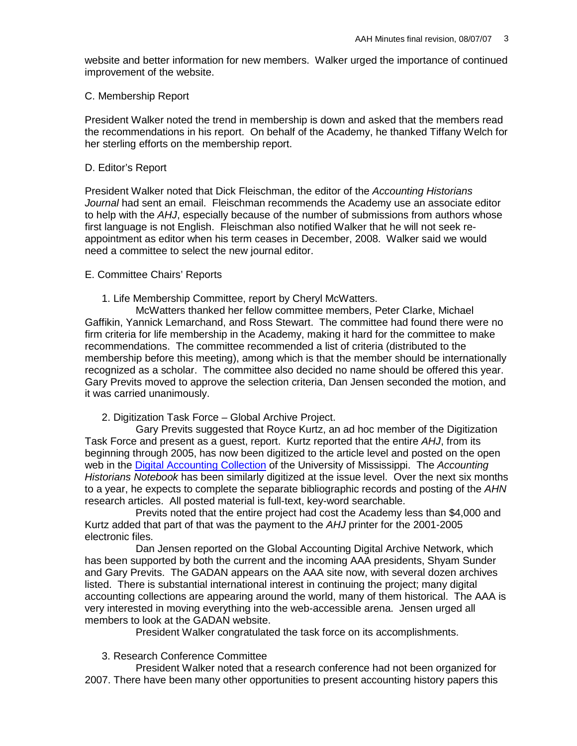website and better information for new members. Walker urged the importance of continued improvement of the website.

# C. Membership Report

President Walker noted the trend in membership is down and asked that the members read the recommendations in his report. On behalf of the Academy, he thanked Tiffany Welch for her sterling efforts on the membership report.

## D. Editor's Report

President Walker noted that Dick Fleischman, the editor of the *Accounting Historians Journal* had sent an email. Fleischman recommends the Academy use an associate editor to help with the *AHJ*, especially because of the number of submissions from authors whose first language is not English. Fleischman also notified Walker that he will not seek reappointment as editor when his term ceases in December, 2008. Walker said we would need a committee to select the new journal editor.

## E. Committee Chairs' Reports

1. Life Membership Committee, report by Cheryl McWatters.

McWatters thanked her fellow committee members, Peter Clarke, Michael Gaffikin, Yannick Lemarchand, and Ross Stewart. The committee had found there were no firm criteria for life membership in the Academy, making it hard for the committee to make recommendations. The committee recommended a list of criteria (distributed to the membership before this meeting), among which is that the member should be internationally recognized as a scholar. The committee also decided no name should be offered this year. Gary Previts moved to approve the selection criteria, Dan Jensen seconded the motion, and it was carried unanimously.

2. Digitization Task Force – Global Archive Project.

Gary Previts suggested that Royce Kurtz, an ad hoc member of the Digitization Task Force and present as a guest, report. Kurtz reported that the entire *AHJ*, from its beginning through 2005, has now been digitized to the article level and posted on the open web in the [Digital Accounting Collection](http://umiss.lib.olemiss.edu:82/screens/dacopac.html) of the University of Mississippi. The *Accounting Historians Notebook* has been similarly digitized at the issue level. Over the next six months to a year, he expects to complete the separate bibliographic records and posting of the *AHN* research articles. All posted material is full-text, key-word searchable.

Previts noted that the entire project had cost the Academy less than \$4,000 and Kurtz added that part of that was the payment to the *AHJ* printer for the 2001-2005 electronic files.

Dan Jensen reported on the Global Accounting Digital Archive Network, which has been supported by both the current and the incoming AAA presidents, Shyam Sunder and Gary Previts. The GADAN appears on the AAA site now, with several dozen archives listed. There is substantial international interest in continuing the project; many digital accounting collections are appearing around the world, many of them historical. The AAA is very interested in moving everything into the web-accessible arena. Jensen urged all members to look at the GADAN website.

President Walker congratulated the task force on its accomplishments.

# 3. Research Conference Committee

President Walker noted that a research conference had not been organized for 2007. There have been many other opportunities to present accounting history papers this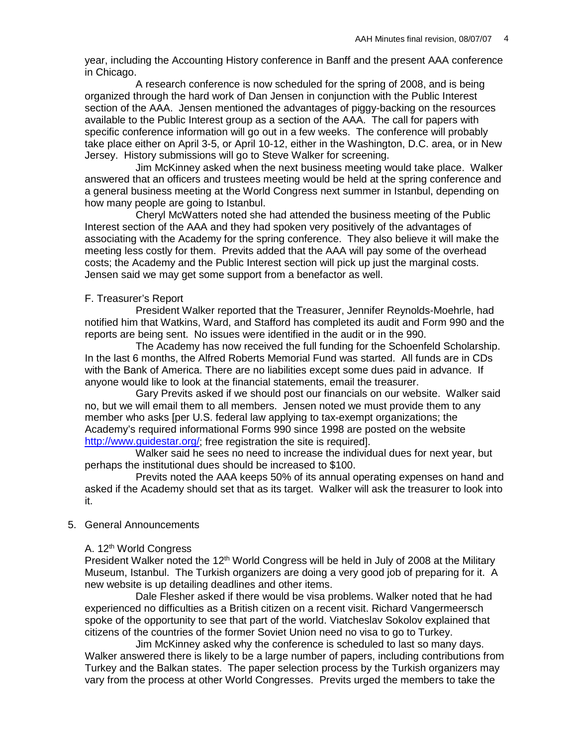year, including the Accounting History conference in Banff and the present AAA conference in Chicago.

A research conference is now scheduled for the spring of 2008, and is being organized through the hard work of Dan Jensen in conjunction with the Public Interest section of the AAA. Jensen mentioned the advantages of piggy-backing on the resources available to the Public Interest group as a section of the AAA. The call for papers with specific conference information will go out in a few weeks. The conference will probably take place either on April 3-5, or April 10-12, either in the Washington, D.C. area, or in New Jersey. History submissions will go to Steve Walker for screening.

Jim McKinney asked when the next business meeting would take place. Walker answered that an officers and trustees meeting would be held at the spring conference and a general business meeting at the World Congress next summer in Istanbul, depending on how many people are going to Istanbul.

Cheryl McWatters noted she had attended the business meeting of the Public Interest section of the AAA and they had spoken very positively of the advantages of associating with the Academy for the spring conference. They also believe it will make the meeting less costly for them. Previts added that the AAA will pay some of the overhead costs; the Academy and the Public Interest section will pick up just the marginal costs. Jensen said we may get some support from a benefactor as well.

#### F. Treasurer's Report

President Walker reported that the Treasurer, Jennifer Reynolds-Moehrle, had notified him that Watkins, Ward, and Stafford has completed its audit and Form 990 and the reports are being sent. No issues were identified in the audit or in the 990.

The Academy has now received the full funding for the Schoenfeld Scholarship. In the last 6 months, the Alfred Roberts Memorial Fund was started. All funds are in CDs with the Bank of America. There are no liabilities except some dues paid in advance. If anyone would like to look at the financial statements, email the treasurer.

Gary Previts asked if we should post our financials on our website. Walker said no, but we will email them to all members. Jensen noted we must provide them to any member who asks [per U.S. federal law applying to tax-exempt organizations; the Academy's required informational Forms 990 since 1998 are posted on the website [http://www.guidestar.org/;](http://www.guidestar.org/) free registration the site is required].

Walker said he sees no need to increase the individual dues for next year, but perhaps the institutional dues should be increased to \$100.

Previts noted the AAA keeps 50% of its annual operating expenses on hand and asked if the Academy should set that as its target. Walker will ask the treasurer to look into it.

#### 5. General Announcements

#### A. 12<sup>th</sup> World Congress

President Walker noted the 12<sup>th</sup> World Congress will be held in July of 2008 at the Military Museum, Istanbul. The Turkish organizers are doing a very good job of preparing for it. A new website is up detailing deadlines and other items.

Dale Flesher asked if there would be visa problems. Walker noted that he had experienced no difficulties as a British citizen on a recent visit. Richard Vangermeersch spoke of the opportunity to see that part of the world. Viatcheslav Sokolov explained that citizens of the countries of the former Soviet Union need no visa to go to Turkey.

Jim McKinney asked why the conference is scheduled to last so many days. Walker answered there is likely to be a large number of papers, including contributions from Turkey and the Balkan states. The paper selection process by the Turkish organizers may vary from the process at other World Congresses. Previts urged the members to take the